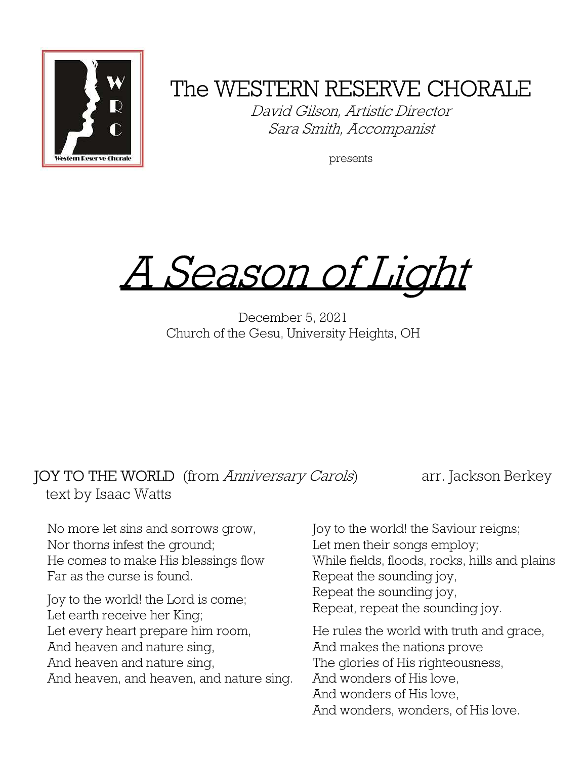

# The WESTERN RESERVE CHORALE

David Gilson, Artistic Director Sara Smith, Accompanist

presents

A Season of Light

December 5, 2021 Church of the Gesu, University Heights, OH

### JOY TO THE WORLD (from Anniversary Carols) arr. Jackson Berkey text by Isaac Watts

No more let sins and sorrows grow, Nor thorns infest the ground; He comes to make His blessings flow Far as the curse is found.

Joy to the world! the Lord is come; Let earth receive her King; Let every heart prepare him room, And heaven and nature sing, And heaven and nature sing, And heaven, and heaven, and nature sing. Joy to the world! the Saviour reigns; Let men their songs employ; While fields, floods, rocks, hills and plains Repeat the sounding joy, Repeat the sounding joy, Repeat, repeat the sounding joy.

He rules the world with truth and grace, And makes the nations prove The glories of His righteousness, And wonders of His love, And wonders of His love, And wonders, wonders, of His love.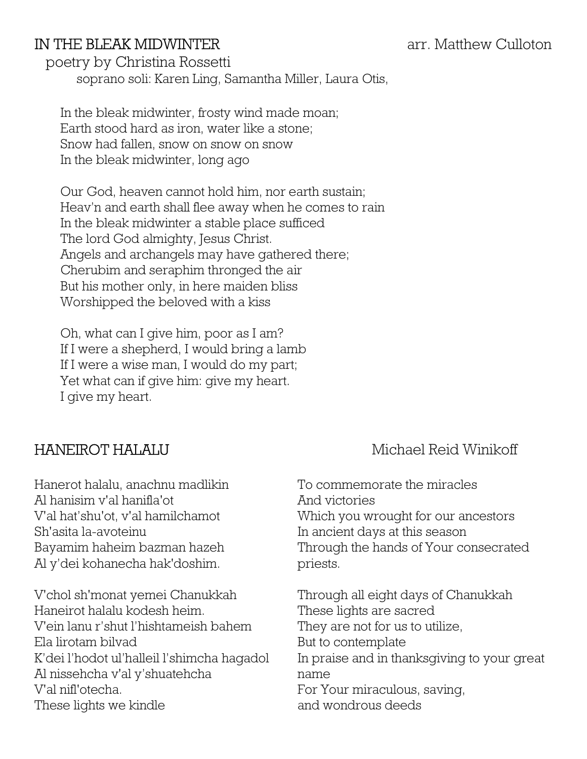## **IN THE BLEAK MIDWINTER** arr. Matthew Culloton

 poetry by Christina Rossetti soprano soli: Karen Ling, Samantha Miller, Laura Otis,

In the bleak midwinter, frosty wind made moan; Earth stood hard as iron, water like a stone; Snow had fallen, snow on snow on snow In the bleak midwinter, long ago

Our God, heaven cannot hold him, nor earth sustain; Heav'n and earth shall flee away when he comes to rain In the bleak midwinter a stable place sufficed The lord God almighty, Jesus Christ. Angels and archangels may have gathered there; Cherubim and seraphim thronged the air But his mother only, in here maiden bliss Worshipped the beloved with a kiss

Oh, what can I give him, poor as I am? If I were a shepherd, I would bring a lamb If I were a wise man, I would do my part; Yet what can if give him: give my heart. I give my heart.

Hanerot halalu, anachnu madlikin Al hanisim v'al hanifla'ot V'al hat'shu'ot, v'al hamilchamot Sh'asita la-avoteinu Bayamim haheim bazman hazeh Al y'dei kohanecha hak'doshim.

V'chol sh'monat yemei Chanukkah Haneirot halalu kodesh heim. V'ein lanu r'shut l'hishtameish bahem Ela lirotam bilvad K'dei l'hodot ul'halleil l'shimcha hagadol Al nissehcha v'al y'shuatehcha V'al nifl'otecha. These lights we kindle

### HANEIROT HALALU Michael Reid Winikoff

To commemorate the miracles And victories Which you wrought for our ancestors In ancient days at this season Through the hands of Your consecrated priests.

Through all eight days of Chanukkah These lights are sacred They are not for us to utilize, But to contemplate In praise and in thanksgiving to your great name For Your miraculous, saving, and wondrous deeds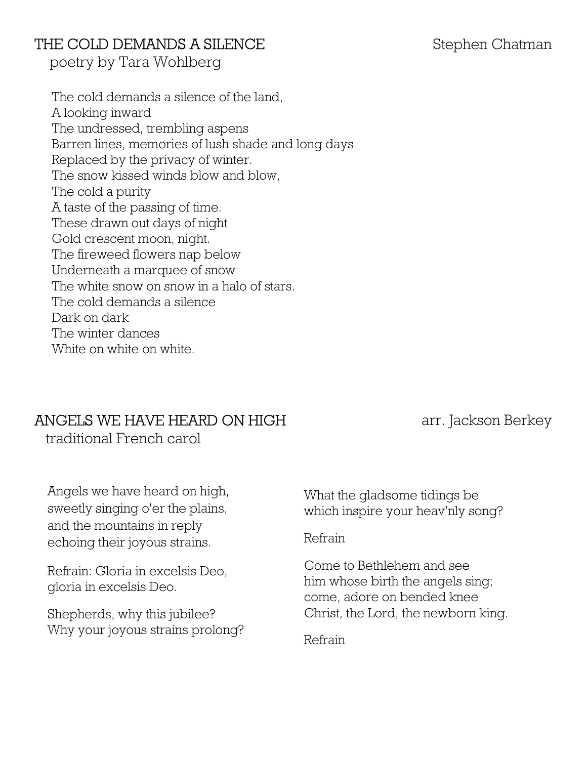# THE COLD DEMANDS A SILENCE Stephen Chatman

poetry by Tara Wohlberg

The cold demands a silence of the land, A looking inward The undressed, trembling aspens Barren lines, memories of lush shade and long days Replaced by the privacy of winter. The snow kissed winds blow and blow, The cold a purity A taste of the passing of time. These drawn out days of night Gold crescent moon, night. The fireweed flowers nap below Underneath a marquee of snow The white snow on snow in a halo of stars. The cold demands a silence Dark on dark The winter dances White on white on white.

# ANGELS WE HAVE HEARD ON HIGH arr. Jackson Berkey

traditional French carol

Angels we have heard on high, sweetly singing o'er the plains, and the mountains in reply echoing their joyous strains.

Refrain: Gloria in excelsis Deo, gloria in excelsis Deo.

Shepherds, why this jubilee? Why your joyous strains prolong? What the gladsome tidings be which inspire your heav'nly song?

#### Refrain

Come to Bethlehem and see him whose birth the angels sing; come, adore on bended knee Christ, the Lord, the newborn king.

Refrain